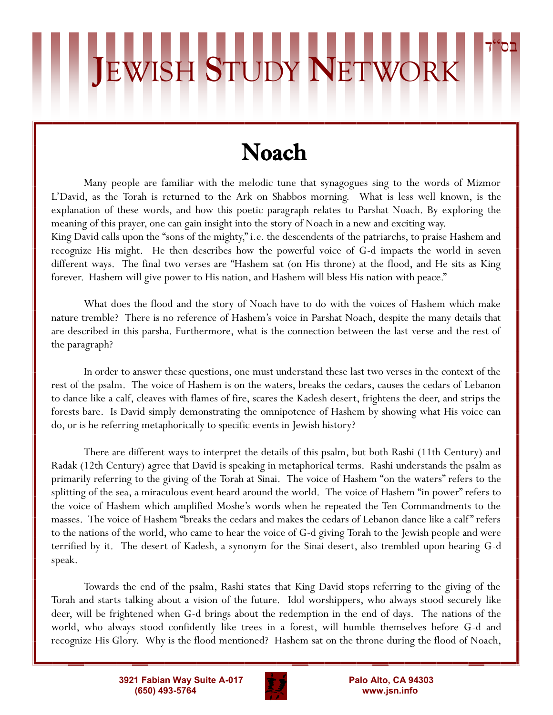## בס"ד **J**EWISH **S**TUDY **N**ETWORK

## Noach

Many people are familiar with the melodic tune that synagogues sing to the words of Mizmor L'David, as the Torah is returned to the Ark on Shabbos morning. What is less well known, is the explanation of these words, and how this poetic paragraph relates to Parshat Noach. By exploring the meaning of this prayer, one can gain insight into the story of Noach in a new and exciting way.

King David calls upon the "sons of the mighty," i.e. the descendents of the patriarchs, to praise Hashem and recognize His might. He then describes how the powerful voice of G-d impacts the world in seven different ways. The final two verses are "Hashem sat (on His throne) at the flood, and He sits as King forever. Hashem will give power to His nation, and Hashem will bless His nation with peace."

What does the flood and the story of Noach have to do with the voices of Hashem which make nature tremble? There is no reference of Hashem's voice in Parshat Noach, despite the many details that are described in this parsha. Furthermore, what is the connection between the last verse and the rest of the paragraph?

In order to answer these questions, one must understand these last two verses in the context of the rest of the psalm. The voice of Hashem is on the waters, breaks the cedars, causes the cedars of Lebanon to dance like a calf, cleaves with flames of fire, scares the Kadesh desert, frightens the deer, and strips the forests bare. Is David simply demonstrating the omnipotence of Hashem by showing what His voice can do, or is he referring metaphorically to specific events in Jewish history?

There are different ways to interpret the details of this psalm, but both Rashi (11th Century) and Radak (12th Century) agree that David is speaking in metaphorical terms. Rashi understands the psalm as primarily referring to the giving of the Torah at Sinai. The voice of Hashem "on the waters" refers to the splitting of the sea, a miraculous event heard around the world. The voice of Hashem "in power" refers to the voice of Hashem which amplified Moshe's words when he repeated the Ten Commandments to the masses. The voice of Hashem "breaks the cedars and makes the cedars of Lebanon dance like a calf " refers to the nations of the world, who came to hear the voice of G-d giving Torah to the Jewish people and were terrified by it. The desert of Kadesh, a synonym for the Sinai desert, also trembled upon hearing G-d speak.

Towards the end of the psalm, Rashi states that King David stops referring to the giving of the Torah and starts talking about a vision of the future. Idol worshippers, who always stood securely like deer, will be frightened when G-d brings about the redemption in the end of days. The nations of the world, who always stood confidently like trees in a forest, will humble themselves before G-d and recognize His Glory. Why is the flood mentioned? Hashem sat on the throne during the flood of Noach,

> **3921 Fabian Way Suite A-017 Palo Alto, CA 94303 (650) 493-5764 www.jsn.info**